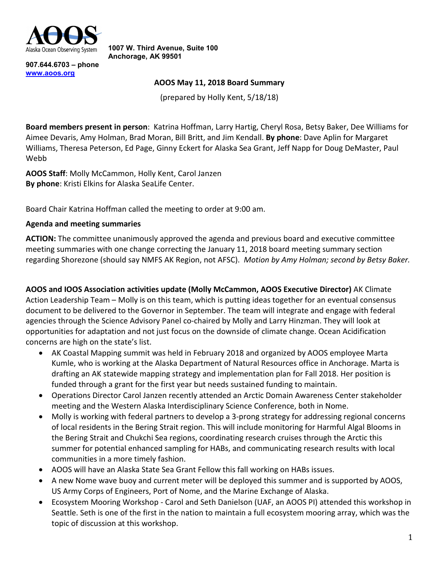

**1007 W. Third Avenue, Suite 100 Anchorage, AK 99501**

**907.644.6703 – phone [www.aoos.org](http://www.aoos.org/)**

#### **AOOS May 11, 2018 Board Summary**

(prepared by Holly Kent, 5/18/18)

**Board members present in person**: Katrina Hoffman, Larry Hartig, Cheryl Rosa, Betsy Baker, Dee Williams for Aimee Devaris, Amy Holman, Brad Moran, Bill Britt, and Jim Kendall. **By phone**: Dave Aplin for Margaret Williams, Theresa Peterson, Ed Page, Ginny Eckert for Alaska Sea Grant, Jeff Napp for Doug DeMaster, Paul Webb

**AOOS Staff**: Molly McCammon, Holly Kent, Carol Janzen **By phone**: Kristi Elkins for Alaska SeaLife Center.

Board Chair Katrina Hoffman called the meeting to order at 9:00 am.

### **Agenda and meeting summaries**

**ACTION:** The committee unanimously approved the agenda and previous board and executive committee meeting summaries with one change correcting the January 11, 2018 board meeting summary section regarding Shorezone (should say NMFS AK Region, not AFSC). *Motion by Amy Holman; second by Betsy Baker.*

**AOOS and IOOS Association activities update (Molly McCammon, AOOS Executive Director)** AK Climate Action Leadership Team – Molly is on this team, which is putting ideas together for an eventual consensus document to be delivered to the Governor in September. The team will integrate and engage with federal agencies through the Science Advisory Panel co-chaired by Molly and Larry Hinzman. They will look at opportunities for adaptation and not just focus on the downside of climate change. Ocean Acidification concerns are high on the state's list.

- AK Coastal Mapping summit was held in February 2018 and organized by AOOS employee Marta Kumle, who is working at the Alaska Department of Natural Resources office in Anchorage. Marta is drafting an AK statewide mapping strategy and implementation plan for Fall 2018. Her position is funded through a grant for the first year but needs sustained funding to maintain.
- Operations Director Carol Janzen recently attended an Arctic Domain Awareness Center stakeholder meeting and the Western Alaska Interdisciplinary Science Conference, both in Nome.
- Molly is working with federal partners to develop a 3-prong strategy for addressing regional concerns of local residents in the Bering Strait region. This will include monitoring for Harmful Algal Blooms in the Bering Strait and Chukchi Sea regions, coordinating research cruises through the Arctic this summer for potential enhanced sampling for HABs, and communicating research results with local communities in a more timely fashion.
- AOOS will have an Alaska State Sea Grant Fellow this fall working on HABs issues.
- A new Nome wave buoy and current meter will be deployed this summer and is supported by AOOS, US Army Corps of Engineers, Port of Nome, and the Marine Exchange of Alaska.
- Ecosystem Mooring Workshop Carol and Seth Danielson (UAF, an AOOS PI) attended this workshop in Seattle. Seth is one of the first in the nation to maintain a full ecosystem mooring array, which was the topic of discussion at this workshop.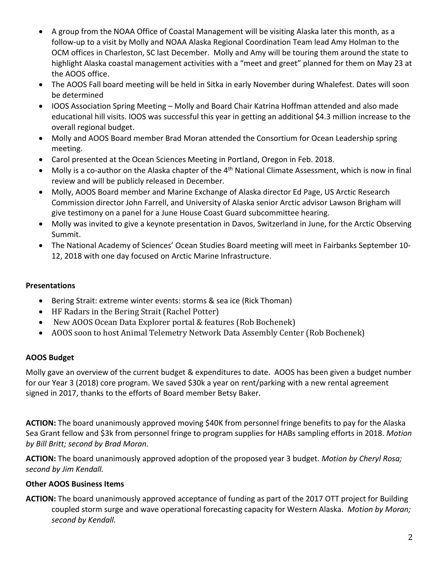- A group from the NOAA Office of Coastal Management will be visiting Alaska later this month, as a follow-up to a visit by Molly and NOAA Alaska Regional Coordination Team lead Amy Holman to the OCM offices in Charleston, SC last December. Molly and Amy will be touring them around the state to highlight Alaska coastal management activities with a "meet and greet" planned for them on May 23 at the AOOS office.
- The AOOS Fall board meeting will be held in Sitka in early November during Whalefest. Dates will soon be determined
- IOOS Association Spring Meeting Molly and Board Chair Katrina Hoffman attended and also made educational hill visits. IOOS was successful this year in getting an additional \$4.3 million increase to the overall regional budget.
- Molly and AOOS Board member Brad Moran attended the Consortium for Ocean Leadership spring meeting.
- Carol presented at the Ocean Sciences Meeting in Portland, Oregon in Feb. 2018.
- Molly is a co-author on the Alaska chapter of the 4<sup>th</sup> National Climate Assessment, which is now in final review and will be publicly released in December.
- Molly, AOOS Board member and Marine Exchange of Alaska director Ed Page, US Arctic Research Commission director John Farrell, and University of Alaska senior Arctic advisor Lawson Brigham will give testimony on a panel for a June House Coast Guard subcommittee hearing.
- Molly was invited to give a keynote presentation in Davos, Switzerland in June, for the Arctic Observing Summit.
- The National Academy of Sciences' Ocean Studies Board meeting will meet in Fairbanks September 10- 12, 2018 with one day focused on Arctic Marine Infrastructure.

# **Presentations**

- Bering Strait: extreme winter events: storms & sea ice (Rick Thoman)
- HF Radars in the Bering Strait (Rachel Potter)
- New AOOS Ocean Data Explorer portal & features (Rob Bochenek)
- AOOS soon to host Animal Telemetry Network Data Assembly Center (Rob Bochenek)

## **AOOS Budget**

Molly gave an overview of the current budget & expenditures to date. AOOS has been given a budget number for our Year 3 (2018) core program. We saved \$30k a year on rent/parking with a new rental agreement signed in 2017, thanks to the efforts of Board member Betsy Baker.

**ACTION:** The board unanimously approved moving \$40K from personnel fringe benefits to pay for the Alaska Sea Grant fellow and \$3k from personnel fringe to program supplies for HABs sampling efforts in 2018. *Motion by Bill Britt; second by Brad Moran.*

**ACTION:** The board unanimously approved adoption of the proposed year 3 budget. *Motion by Cheryl Rosa; second by Jim Kendall.*

## **Other AOOS Business Items**

**ACTION:** The board unanimously approved acceptance of funding as part of the 2017 OTT project for Building coupled storm surge and wave operational forecasting capacity for Western Alaska. *Motion by Moran; second by Kendall.*